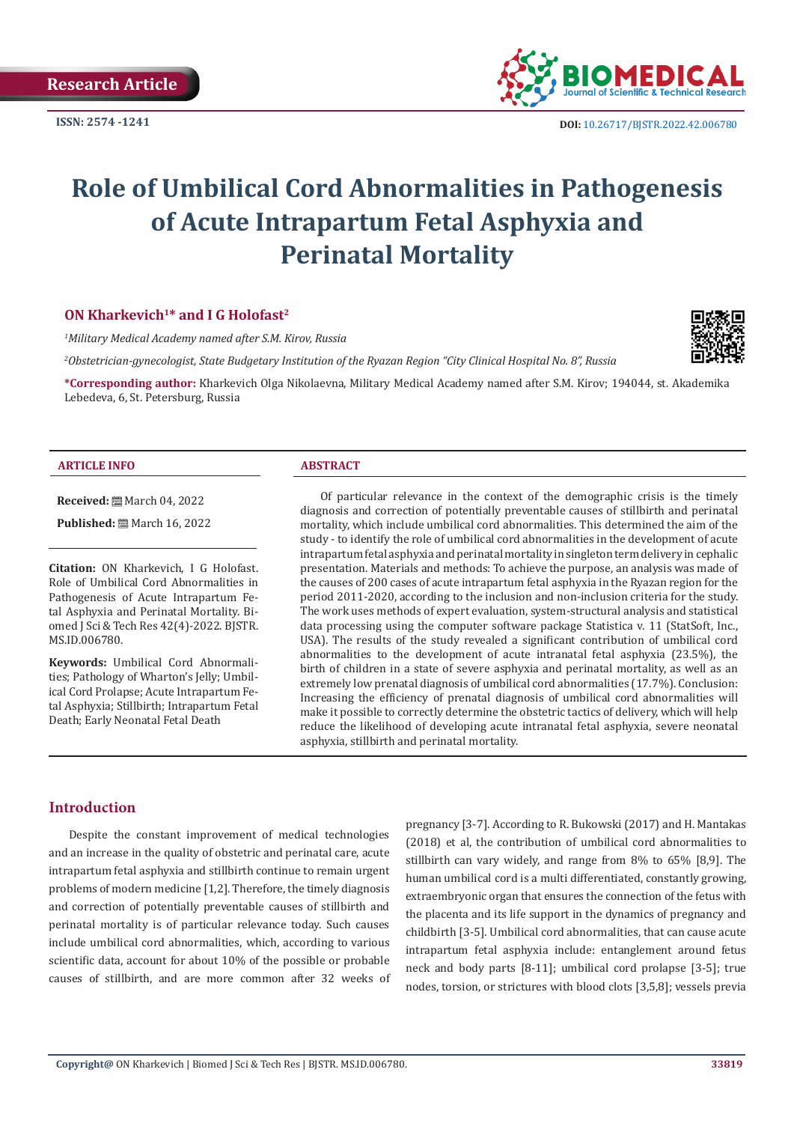

**ISSN: 2574 -1241 DOI:** [10.26717/BJSTR.2022.42.006780](https://dx.doi.org/10.26717/BJSTR.2022.42.006780)

# **Role of Umbilical Cord Abnormalities in Pathogenesis of Acute Intrapartum Fetal Asphyxia and Perinatal Mortality**

# **ON Kharkevich1\* and I G Holofast2**

*1 Military Medical Academy named after S.M. Kirov, Russia*

*2 Obstetrician-gynecologist, State Budgetary Institution of the Ryazan Region "City Clinical Hospital No. 8", Russia*

**\*Corresponding author:** Kharkevich Olga Nikolaevna, Military Medical Academy named after S.M. Kirov; 194044, st. Akademika Lebedeva, 6, St. Petersburg, Russia

#### **ARTICLE INFO ABSTRACT**

**Received:** March 04, 2022

**Published:** ■ March 16, 2022

**Citation:** ON Kharkevich, I G Holofast. Role of Umbilical Cord Abnormalities in Pathogenesis of Acute Intrapartum Fetal Asphyxia and Perinatal Mortality. Biomed J Sci & Tech Res 42(4)-2022. BJSTR. MS.ID.006780.

**Keywords:** Umbilical Cord Abnormalities; Pathology of Wharton's Jelly; Umbilical Cord Prolapse; Acute Intrapartum Fetal Asphyxia; Stillbirth; Intrapartum Fetal Death; Early Neonatal Fetal Death

Of particular relevance in the context of the demographic crisis is the timely diagnosis and correction of potentially preventable causes of stillbirth and perinatal mortality, which include umbilical cord abnormalities. This determined the aim of the study - to identify the role of umbilical cord abnormalities in the development of acute intrapartum fetal asphyxia and perinatal mortality in singleton term delivery in cephalic presentation. Materials and methods: To achieve the purpose, an analysis was made of the causes of 200 cases of acute intrapartum fetal asphyxia in the Ryazan region for the period 2011-2020, according to the inclusion and non-inclusion criteria for the study. The work uses methods of expert evaluation, system-structural analysis and statistical data processing using the computer software package Statistica v. 11 (StatSoft, Inc., USA). The results of the study revealed a significant contribution of umbilical cord abnormalities to the development of acute intranatal fetal asphyxia (23.5%), the birth of children in a state of severe asphyxia and perinatal mortality, as well as an extremely low prenatal diagnosis of umbilical cord abnormalities (17.7%). Conclusion: Increasing the efficiency of prenatal diagnosis of umbilical cord abnormalities will make it possible to correctly determine the obstetric tactics of delivery, which will help reduce the likelihood of developing acute intranatal fetal asphyxia, severe neonatal asphyxia, stillbirth and perinatal mortality.

#### **Introduction**

Despite the constant improvement of medical technologies and an increase in the quality of obstetric and perinatal care, acute intrapartum fetal asphyxia and stillbirth continue to remain urgent problems of modern medicine [1,2]. Therefore, the timely diagnosis and correction of potentially preventable causes of stillbirth and perinatal mortality is of particular relevance today. Such causes include umbilical cord abnormalities, which, according to various scientific data, account for about 10% of the possible or probable causes of stillbirth, and are more common after 32 weeks of pregnancy [3-7]. According to R. Bukowski (2017) and H. Mantakas (2018) et al, the contribution of umbilical cord abnormalities to stillbirth can vary widely, and range from 8% to 65% [8,9]. The human umbilical cord is a multi differentiated, constantly growing, extraembryonic organ that ensures the connection of the fetus with the placenta and its life support in the dynamics of pregnancy and childbirth [3-5]. Umbilical cord abnormalities, that can cause acute intrapartum fetal asphyxia include: entanglement around fetus neck and body parts [8-11]; umbilical cord prolapse [3-5]; true nodes, torsion, or strictures with blood clots [3,5,8]; vessels previa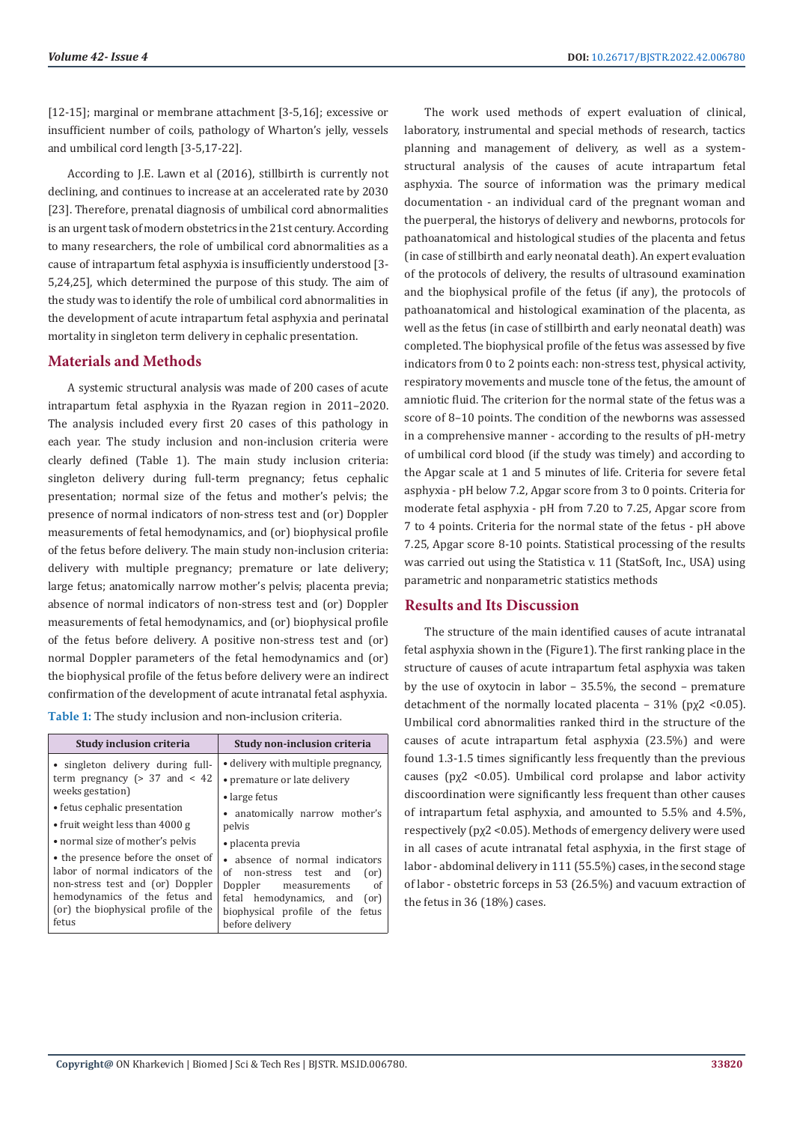[12-15]; marginal or membrane attachment [3-5,16]; excessive or insufficient number of coils, pathology of Wharton's jelly, vessels and umbilical cord length [3-5,17-22].

According to J.E. Lawn et al (2016), stillbirth is currently not declining, and continues to increase at an accelerated rate by 2030 [23]. Therefore, prenatal diagnosis of umbilical cord abnormalities is an urgent task of modern obstetrics in the 21st century. According to many researchers, the role of umbilical cord abnormalities as a cause of intrapartum fetal asphyxia is insufficiently understood [3- 5,24,25], which determined the purpose of this study. The aim of the study was to identify the role of umbilical cord abnormalities in the development of acute intrapartum fetal asphyxia and perinatal mortality in singleton term delivery in cephalic presentation.

# **Materials and Methods**

A systemic structural analysis was made of 200 cases of acute intrapartum fetal asphyxia in the Ryazan region in 2011–2020. The analysis included every first 20 cases of this pathology in each year. The study inclusion and non-inclusion criteria were clearly defined (Table 1). The main study inclusion criteria: singleton delivery during full-term pregnancy; fetus cephalic presentation; normal size of the fetus and mother's pelvis; the presence of normal indicators of non-stress test and (or) Doppler measurements of fetal hemodynamics, and (or) biophysical profile of the fetus before delivery. The main study non-inclusion criteria: delivery with multiple pregnancy; premature or late delivery; large fetus; anatomically narrow mother's pelvis; placenta previa; absence of normal indicators of non-stress test and (or) Doppler measurements of fetal hemodynamics, and (or) biophysical profile of the fetus before delivery. A positive non-stress test and (or) normal Doppler parameters of the fetal hemodynamics and (or) the biophysical profile of the fetus before delivery were an indirect confirmation of the development of acute intranatal fetal asphyxia.

**Table 1:** The study inclusion and non-inclusion criteria.

| Study inclusion criteria                                                                                                                                                                                                         | Study non-inclusion criteria                                                                                                                                                                                  |  |  |
|----------------------------------------------------------------------------------------------------------------------------------------------------------------------------------------------------------------------------------|---------------------------------------------------------------------------------------------------------------------------------------------------------------------------------------------------------------|--|--|
| • singleton delivery during full-<br>term pregnancy ( $> 37$ and $< 42$<br>weeks gestation)<br>• fetus cephalic presentation<br>• fruit weight less than 4000 g                                                                  | • delivery with multiple pregnancy,<br>• premature or late delivery<br>• large fetus<br>• anatomically narrow mother's<br>pelvis                                                                              |  |  |
| • normal size of mother's pelvis<br>• the presence before the onset of<br>labor of normal indicators of the<br>non-stress test and (or) Doppler<br>hemodynamics of the fetus and<br>(or) the biophysical profile of the<br>fetus | • placenta previa<br>• absence of normal indicators<br>of non-stress test and<br>(or)<br>of<br>Doppler measurements<br>fetal hemodynamics, and<br>(or)<br>biophysical profile of the fetus<br>before delivery |  |  |

The work used methods of expert evaluation of clinical, laboratory, instrumental and special methods of research, tactics planning and management of delivery, as well as a systemstructural analysis of the causes of acute intrapartum fetal asphyxia. The source of information was the primary medical documentation - an individual card of the pregnant woman and the puerperal, the historys of delivery and newborns, protocols for pathoanatomical and histological studies of the placenta and fetus (in case of stillbirth and early neonatal death). An expert evaluation of the protocols of delivery, the results of ultrasound examination and the biophysical profile of the fetus (if any), the protocols of pathoanatomical and histological examination of the placenta, as well as the fetus (in case of stillbirth and early neonatal death) was completed. The biophysical profile of the fetus was assessed by five indicators from 0 to 2 points each: non-stress test, physical activity, respiratory movements and muscle tone of the fetus, the amount of amniotic fluid. The criterion for the normal state of the fetus was a score of 8–10 points. The condition of the newborns was assessed in a comprehensive manner - according to the results of pH-metry of umbilical cord blood (if the study was timely) and according to the Apgar scale at 1 and 5 minutes of life. Criteria for severe fetal asphyxia - pH below 7.2, Apgar score from 3 to 0 points. Criteria for moderate fetal asphyxia - pH from 7.20 to 7.25, Apgar score from 7 to 4 points. Criteria for the normal state of the fetus - pH above 7.25, Apgar score 8-10 points. Statistical processing of the results was carried out using the Statistica v. 11 (StatSoft, Inc., USA) using parametric and nonparametric statistics methods

# **Results and Its Discussion**

The structure of the main identified causes of acute intranatal fetal asphyxia shown in the (Figure1). The first ranking place in the structure of causes of acute intrapartum fetal asphyxia was taken by the use of oxytocin in labor – 35.5%, the second – premature detachment of the normally located placenta –  $31\%$  (px2 <0.05). Umbilical cord abnormalities ranked third in the structure of the causes of acute intrapartum fetal asphyxia (23.5%) and were found 1.3-1.5 times significantly less frequently than the previous causes ( $px2$  <0.05). Umbilical cord prolapse and labor activity discoordination were significantly less frequent than other causes of intrapartum fetal asphyxia, and amounted to 5.5% and 4.5%, respectively (рχ2 <0.05). Methods of emergency delivery were used in all cases of acute intranatal fetal asphyxia, in the first stage of labor - abdominal delivery in 111 (55.5%) cases, in the second stage of labor - obstetric forceps in 53 (26.5%) and vacuum extraction of the fetus in 36 (18%) cases.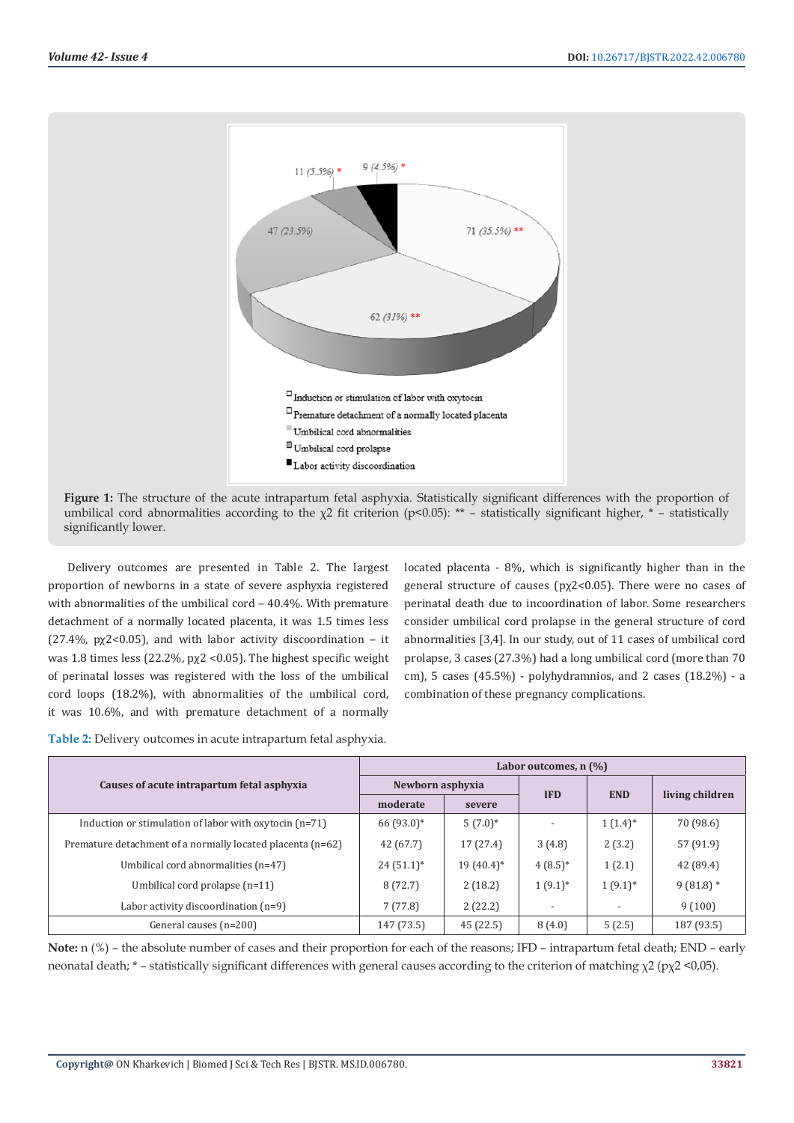

**Figure 1:** The structure of the acute intrapartum fetal asphyxia. Statistically significant differences with the proportion of umbilical cord abnormalities according to the  $\chi$ 2 fit criterion (p<0.05): \*\* – statistically significant higher, \* – statistically significantly lower.

Delivery outcomes are presented in Table 2. The largest proportion of newborns in a state of severe asphyxia registered with abnormalities of the umbilical cord – 40.4%. With premature detachment of a normally located placenta, it was 1.5 times less (27.4%,  $px2 < 0.05$ ), and with labor activity discoordination – it was 1.8 times less (22.2%, рχ2 <0.05). The highest specific weight of perinatal losses was registered with the loss of the umbilical cord loops (18.2%), with abnormalities of the umbilical cord, it was 10.6%, and with premature detachment of a normally

located placenta - 8%, which is significantly higher than in the general structure of causes (pχ2<0.05). There were no cases of perinatal death due to incoordination of labor. Some researchers consider umbilical cord prolapse in the general structure of cord abnormalities [3,4]. In our study, out of 11 cases of umbilical cord prolapse, 3 cases (27.3%) had a long umbilical cord (more than 70 cm), 5 cases (45.5%) - polyhydramnios, and 2 cases (18.2%) - a combination of these pregnancy complications.

| Table 2: Delivery outcomes in acute intrapartum fetal asphyxia. |  |  |
|-----------------------------------------------------------------|--|--|
|                                                                 |  |  |

|                                                            | Labor outcomes, $n$ $\left(\frac{9}{0}\right)$ |              |            |              |                 |
|------------------------------------------------------------|------------------------------------------------|--------------|------------|--------------|-----------------|
| Causes of acute intrapartum fetal asphyxia                 | Newborn asphyxia                               |              |            |              |                 |
|                                                            | moderate                                       | severe       | <b>IFD</b> | <b>END</b>   | living children |
| Induction or stimulation of labor with oxytocin $(n=71)$   | $66(93.0)*$                                    | $5(7.0)$ *   |            | $1(1.4)^*$   | 70 (98.6)       |
| Premature detachment of a normally located placenta (n=62) | 42(67.7)                                       | 17(27.4)     | 3(4.8)     | 2(3.2)       | 57 (91.9)       |
| Umbilical cord abnormalities (n=47)                        | $24(51.1)^*$                                   | $19(40.4)^*$ | $4(8.5)$ * | 1(2.1)       | 42 (89.4)       |
| Umbilical cord prolapse $(n=11)$                           | 8(72.7)                                        | 2(18.2)      | $1(9.1)$ * | $1(9.1)^{*}$ | $9(81.8)$ *     |
| Labor activity discoordination $(n=9)$                     | 7(77.8)                                        | 2(22.2)      |            |              | 9(100)          |
| General causes (n=200)                                     | 147 (73.5)                                     | 45(22.5)     | 8(4.0)     | 5(2.5)       | 187 (93.5)      |

**Note:** n (%) – the absolute number of cases and their proportion for each of the reasons; IFD – intrapartum fetal death; END – early neonatal death; \* – statistically significant differences with general causes according to the criterion of matching χ2 (рχ2 <0,05).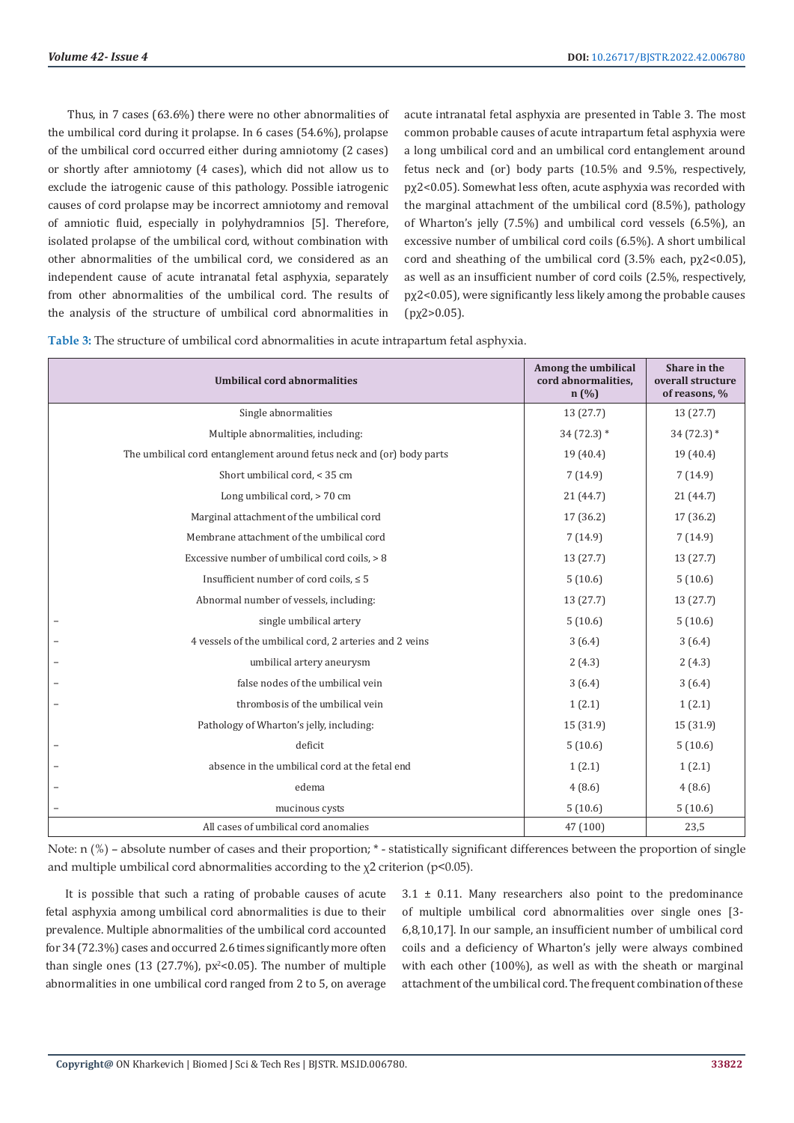Thus, in 7 cases (63.6%) there were no other abnormalities of the umbilical cord during it prolapse. In 6 cases (54.6%), prolapse of the umbilical cord occurred either during amniotomy (2 cases) or shortly after amniotomy (4 cases), which did not allow us to exclude the iatrogenic cause of this pathology. Possible iatrogenic causes of cord prolapse may be incorrect amniotomy and removal of amniotic fluid, especially in polyhydramnios [5]. Therefore, isolated prolapse of the umbilical cord, without combination with other abnormalities of the umbilical cord, we considered as an independent cause of acute intranatal fetal asphyxia, separately from other abnormalities of the umbilical cord. The results of the analysis of the structure of umbilical cord abnormalities in

acute intranatal fetal asphyxia are presented in Table 3. The most common probable causes of acute intrapartum fetal asphyxia were a long umbilical cord and an umbilical cord entanglement around fetus neck and (or) body parts (10.5% and 9.5%, respectively, pχ2<0.05). Somewhat less often, acute asphyxia was recorded with the marginal attachment of the umbilical cord (8.5%), pathology of Wharton's jelly (7.5%) and umbilical cord vessels (6.5%), an excessive number of umbilical cord coils (6.5%). A short umbilical cord and sheathing of the umbilical cord  $(3.5\%$  each,  $px2<0.05)$ , as well as an insufficient number of cord coils (2.5%, respectively, pχ2<0.05), were significantly less likely among the probable causes  $(pχ2>0.05)$ .

**Table 3:** The structure of umbilical cord abnormalities in acute intrapartum fetal asphyxia.

| <b>Umbilical cord abnormalities</b>                                   | Among the umbilical<br>cord abnormalities.<br>n(%) | Share in the<br>overall structure<br>of reasons, % |
|-----------------------------------------------------------------------|----------------------------------------------------|----------------------------------------------------|
| Single abnormalities                                                  | 13(27.7)                                           | 13 (27.7)                                          |
| Multiple abnormalities, including:                                    | $34(72.3)*$                                        | $34(72.3)*$                                        |
| The umbilical cord entanglement around fetus neck and (or) body parts | 19(40.4)                                           | 19 (40.4)                                          |
| Short umbilical cord, < 35 cm                                         | 7(14.9)                                            | 7(14.9)                                            |
| Long umbilical cord, > 70 cm                                          | 21(44.7)                                           | 21 (44.7)                                          |
| Marginal attachment of the umbilical cord                             | 17 (36.2)                                          | 17 (36.2)                                          |
| Membrane attachment of the umbilical cord                             | 7(14.9)                                            | 7(14.9)                                            |
| Excessive number of umbilical cord coils, > 8                         | 13(27.7)                                           | 13 (27.7)                                          |
| Insufficient number of cord coils, $\leq 5$                           | 5(10.6)                                            | 5(10.6)                                            |
| Abnormal number of vessels, including:                                | 13(27.7)                                           | 13 (27.7)                                          |
| single umbilical artery                                               | 5(10.6)                                            | 5(10.6)                                            |
| 4 vessels of the umbilical cord, 2 arteries and 2 veins               | 3(6.4)                                             | 3(6.4)                                             |
| umbilical artery aneurysm                                             | 2(4.3)                                             | 2(4.3)                                             |
| false nodes of the umbilical vein                                     | 3(6.4)                                             | 3(6.4)                                             |
| thrombosis of the umbilical vein                                      | 1(2.1)                                             | 1(2.1)                                             |
| Pathology of Wharton's jelly, including:                              | 15 (31.9)                                          | 15 (31.9)                                          |
| deficit                                                               | 5(10.6)                                            | 5(10.6)                                            |
| absence in the umbilical cord at the fetal end                        | 1(2.1)                                             | 1(2.1)                                             |
| edema                                                                 | 4(8.6)                                             | 4(8.6)                                             |
| mucinous cysts                                                        | 5(10.6)                                            | 5(10.6)                                            |
| All cases of umbilical cord anomalies                                 | 47 (100)                                           | 23,5                                               |

Note: n (%) – absolute number of cases and their proportion; \* - statistically significant differences between the proportion of single and multiple umbilical cord abnormalities according to the  $\chi$ 2 criterion (p<0.05).

It is possible that such a rating of probable causes of acute fetal asphyxia among umbilical cord abnormalities is due to their prevalence. Multiple abnormalities of the umbilical cord accounted for 34 (72.3%) cases and occurred 2.6 times significantly more often than single ones  $(13 \ (27.7\%)$ ,  $px^2 < 0.05$ ). The number of multiple abnormalities in one umbilical cord ranged from 2 to 5, on average

 $3.1 \pm 0.11$ . Many researchers also point to the predominance of multiple umbilical cord abnormalities over single ones [3- 6,8,10,17]. In our sample, an insufficient number of umbilical cord coils and a deficiency of Wharton's jelly were always combined with each other (100%), as well as with the sheath or marginal attachment of the umbilical cord. The frequent combination of these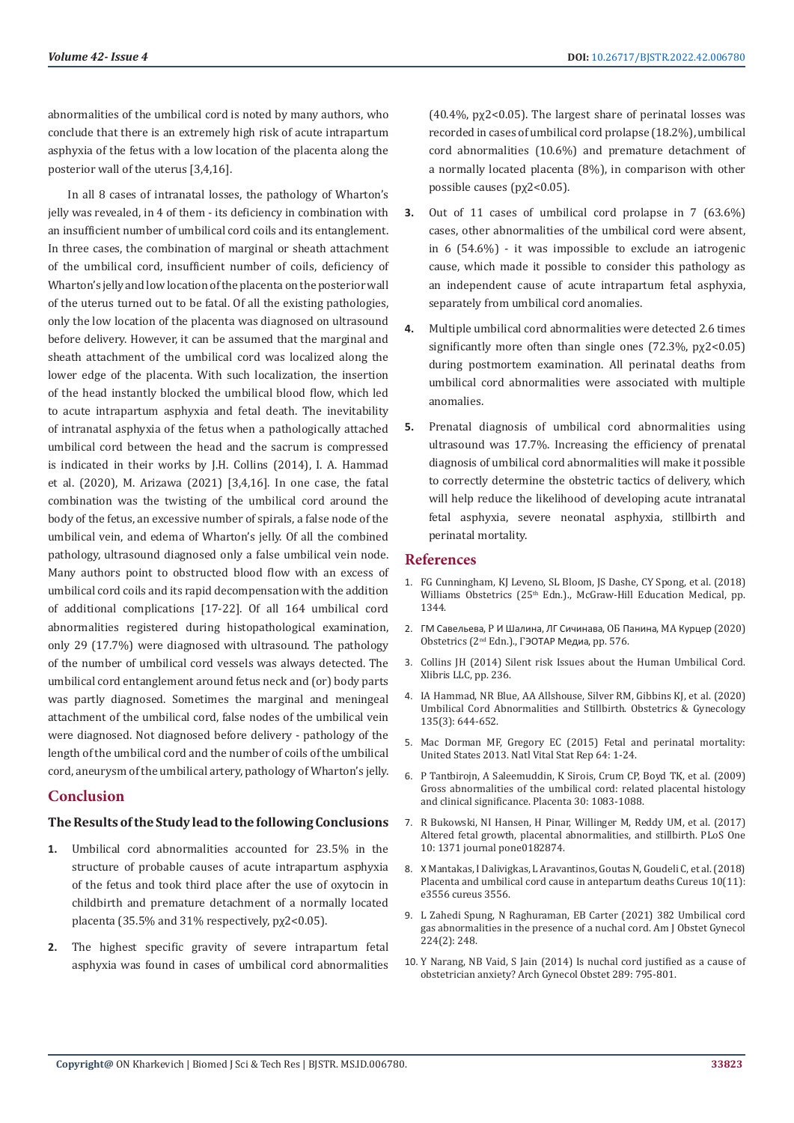abnormalities of the umbilical cord is noted by many authors, who conclude that there is an extremely high risk of acute intrapartum asphyxia of the fetus with a low location of the placenta along the posterior wall of the uterus [3,4,16].

In all 8 cases of intranatal losses, the pathology of Wharton's jelly was revealed, in 4 of them - its deficiency in combination with an insufficient number of umbilical cord coils and its entanglement. In three cases, the combination of marginal or sheath attachment of the umbilical cord, insufficient number of coils, deficiency of Wharton's jelly and low location of the placenta on the posterior wall of the uterus turned out to be fatal. Of all the existing pathologies, only the low location of the placenta was diagnosed on ultrasound before delivery. However, it can be assumed that the marginal and sheath attachment of the umbilical cord was localized along the lower edge of the placenta. With such localization, the insertion of the head instantly blocked the umbilical blood flow, which led to acute intrapartum asphyxia and fetal death. The inevitability of intranatal asphyxia of the fetus when a pathologically attached umbilical cord between the head and the sacrum is compressed is indicated in their works by J.H. Collins (2014), I. A. Hammad et al. (2020), M. Arizawa (2021) [3,4,16]. In one case, the fatal combination was the twisting of the umbilical cord around the body of the fetus, an excessive number of spirals, a false node of the umbilical vein, and edema of Wharton's jelly. Of all the combined pathology, ultrasound diagnosed only a false umbilical vein node. Many authors point to obstructed blood flow with an excess of umbilical cord coils and its rapid decompensation with the addition of additional complications [17-22]. Of all 164 umbilical cord abnormalities registered during histopathological examination, only 29 (17.7%) were diagnosed with ultrasound. The pathology of the number of umbilical cord vessels was always detected. The umbilical cord entanglement around fetus neck and (or) body parts was partly diagnosed. Sometimes the marginal and meningeal attachment of the umbilical cord, false nodes of the umbilical vein were diagnosed. Not diagnosed before delivery - pathology of the length of the umbilical cord and the number of coils of the umbilical cord, aneurysm of the umbilical artery, pathology of Wharton's jelly.

# **Conclusion**

### **The Results of the Study lead to the following Conclusions**

- **1.** Umbilical cord abnormalities accounted for 23.5% in the structure of probable causes of acute intrapartum asphyxia of the fetus and took third place after the use of oxytocin in childbirth and premature detachment of a normally located placenta (35.5% and 31% respectively, pχ2<0.05).
- **2.** The highest specific gravity of severe intrapartum fetal asphyxia was found in cases of umbilical cord abnormalities

 $(40.4\%$ , px2<0.05). The largest share of perinatal losses was recorded in cases of umbilical cord prolapse (18.2%), umbilical cord abnormalities (10.6%) and premature detachment of a normally located placenta (8%), in comparison with other possible causes (pχ2<0.05).

- **3.** Out of 11 cases of umbilical cord prolapse in 7 (63.6%) cases, other abnormalities of the umbilical cord were absent, in 6 (54.6%) - it was impossible to exclude an iatrogenic cause, which made it possible to consider this pathology as an independent cause of acute intrapartum fetal asphyxia, separately from umbilical cord anomalies.
- **4.** Multiple umbilical cord abnormalities were detected 2.6 times significantly more often than single ones (72.3%, px2<0.05) during postmortem examination. All perinatal deaths from umbilical cord abnormalities were associated with multiple anomalies.
- **5.** Prenatal diagnosis of umbilical cord abnormalities using ultrasound was 17.7%. Increasing the efficiency of prenatal diagnosis of umbilical cord abnormalities will make it possible to correctly determine the obstetric tactics of delivery, which will help reduce the likelihood of developing acute intranatal fetal asphyxia, severe neonatal asphyxia, stillbirth and perinatal mortality.

#### **References**

- 1. FG Cunningham, KJ Leveno, SL Bloom, JS Dashe, CY Spong, et al. (2018) Williams Obstetrics (25<sup>th</sup> Edn.)., McGraw-Hill Education Medical, pp. 1344.
- 2. ГМ Савельева, Р И Шалина, ЛГ Сичинава, ОБ Панина, МА Курцер (2020) Obstetrics (2nd Edn.)., ГЭОТАР Медиа, pp. 576.
- 3. [Collins JH \(2014\) Silent risk Issues about the Human Umbilical Cord.](https://www.abebooks.com/Silent-Risk-Issues-Human-Umbilical-Cord/30280161113/bd) [Xlibris LLC, pp. 236.](https://www.abebooks.com/Silent-Risk-Issues-Human-Umbilical-Cord/30280161113/bd)
- 4. IA Hammad, NR Blue, AA Allshouse, Silver RM, Gibbins KJ, et al. (2020) Umbilical Cord Abnormalities and Stillbirth. Obstetrics & Gynecology 135(3): 644-652.
- 5. [Mac Dorman MF, Gregory EC \(2015\) Fetal and perinatal mortality:](https://pubmed.ncbi.nlm.nih.gov/26222771/) [United States 2013. Natl Vital Stat Rep 64: 1-24.](https://pubmed.ncbi.nlm.nih.gov/26222771/)
- 6. [P Tantbirojn, A Saleemuddin, K Sirois,](https://pubmed.ncbi.nlm.nih.gov/19853300/) Crum CP, Boyd TK, et al. (2009) [Gross abnormalities of the umbilical cord: related placental histology](https://pubmed.ncbi.nlm.nih.gov/19853300/) [and clinical significance. Placenta 30: 1083-1088.](https://pubmed.ncbi.nlm.nih.gov/19853300/)
- 7. R Bukowski, NI Hansen, Н Pinar, Willinger M, Reddy UM, et al. (2017) Altered fetal growth, placental abnormalities, and stillbirth. PLoS One 10: 1371 journal pone0182874.
- 8. Х [Mantakas, I Dalivigkas, L Aravantinos, Goutas N, Goudeli C, et al. \(2018\)](https://pubmed.ncbi.nlm.nih.gov/30648088/) [Placenta and umbilical cord cause in antepartum deaths Cureus 10\(11\)](https://pubmed.ncbi.nlm.nih.gov/30648088/): [e3556 cureus 3556.](https://pubmed.ncbi.nlm.nih.gov/30648088/)
- 9. [L Zahedi Spung, N Raghuraman, EB Carter \(2021\) 382 Umbilical cord](https://www.ajog.org/article/S0002-9378(20)31781-6/fulltext) [gas abnormalities in the presence of a nuchal cord. Am J Obstet Gynecol](https://www.ajog.org/article/S0002-9378(20)31781-6/fulltext) [224\(2\): 248.](https://www.ajog.org/article/S0002-9378(20)31781-6/fulltext)
- 10. Y Narang, NB Vaid, S Jain (2014) Is nuchal cord justified as a cause of obstetrician anxiety? Arch Gynecol Obstet 289: 795-801.